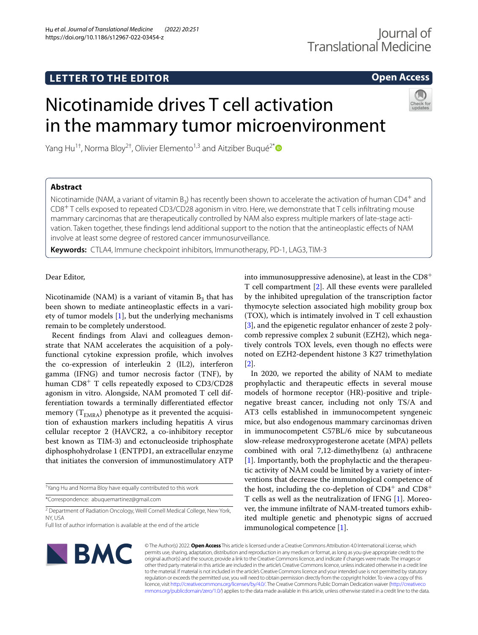# **LETTER TO THE EDITOR**

# **Open Access**

# Nicotinamide drives T cell activation in the mammary tumor microenvironment

Yang Hu<sup>1†</sup>, Norma Bloy<sup>2†</sup>, Olivier Elemento<sup>1,3</sup> and Aitziber Bugué<sup>2\*</sup>

## **Abstract**

Nicotinamide (NAM, a variant of vitamin B<sub>3</sub>) has recently been shown to accelerate the activation of human CD4<sup>+</sup> and CD8+ T cells exposed to repeated CD3/CD28 agonism in vitro. Here, we demonstrate that T cells infltrating mouse mammary carcinomas that are therapeutically controlled by NAM also express multiple markers of late-stage activation. Taken together, these fndings lend additional support to the notion that the antineoplastic efects of NAM involve at least some degree of restored cancer immunosurveillance.

**Keywords:** CTLA4, Immune checkpoint inhibitors, Immunotherapy, PD-1, LAG3, TIM-3

### Dear Editor,

Nicotinamide (NAM) is a variant of vitamin  $B_3$  that has been shown to mediate antineoplastic efects in a variety of tumor models [[1\]](#page-2-0), but the underlying mechanisms remain to be completely understood.

Recent fndings from Alavi and colleagues demonstrate that NAM accelerates the acquisition of a polyfunctional cytokine expression profle, which involves the co-expression of interleukin 2 (IL2), interferon gamma (IFNG) and tumor necrosis factor (TNF), by human CD8<sup>+</sup> T cells repeatedly exposed to CD3/CD28 agonism in vitro. Alongside, NAM promoted T cell differentiation towards a terminally diferentiated efector memory  $(T_{EMRA})$  phenotype as it prevented the acquisition of exhaustion markers including hepatitis A virus cellular receptor 2 (HAVCR2, a co-inhibitory receptor best known as TIM-3) and ectonucleoside triphosphate diphosphohydrolase 1 (ENTPD1, an extracellular enzyme that initiates the conversion of immunostimulatory ATP

† Yang Hu and Norma Bloy have equally contributed to this work

\*Correspondence: abuquemartinez@gmail.com

<sup>2</sup> Department of Radiation Oncology, Weill Cornell Medical College, New York, NY, USA

into immunosuppressive adenosine), at least in the  $CD8<sup>+</sup>$ T cell compartment [[2](#page-2-1)]. All these events were paralleled by the inhibited upregulation of the transcription factor thymocyte selection associated high mobility group box (TOX), which is intimately involved in T cell exhaustion [[3\]](#page-2-2), and the epigenetic regulator enhancer of zeste 2 polycomb repressive complex 2 subunit (EZH2), which negatively controls TOX levels, even though no efects were noted on EZH2-dependent histone 3 K27 trimethylation [[2\]](#page-2-1).

In 2020, we reported the ability of NAM to mediate prophylactic and therapeutic efects in several mouse models of hormone receptor (HR)-positive and triplenegative breast cancer, including not only TS/A and AT3 cells established in immunocompetent syngeneic mice, but also endogenous mammary carcinomas driven in immunocompetent C57BL/6 mice by subcutaneous slow-release medroxyprogesterone acetate (MPA) pellets combined with oral 7,12-dimethylbenz (a) anthracene [[1\]](#page-2-0). Importantly, both the prophylactic and the therapeutic activity of NAM could be limited by a variety of interventions that decrease the immunological competence of the host, including the co-depletion of  $CD4^+$  and  $CD8^+$ T cells as well as the neutralization of IFNG [\[1\]](#page-2-0). Moreover, the immune infltrate of NAM-treated tumors exhibited multiple genetic and phenotypic signs of accrued immunological competence [[1\]](#page-2-0).



© The Author(s) 2022. **Open Access** This article is licensed under a Creative Commons Attribution 4.0 International License, which permits use, sharing, adaptation, distribution and reproduction in any medium or format, as long as you give appropriate credit to the original author(s) and the source, provide a link to the Creative Commons licence, and indicate if changes were made. The images or other third party material in this article are included in the article's Creative Commons licence, unless indicated otherwise in a credit line to the material. If material is not included in the article's Creative Commons licence and your intended use is not permitted by statutory regulation or exceeds the permitted use, you will need to obtain permission directly from the copyright holder. To view a copy of this licence, visit [http://creativecommons.org/licenses/by/4.0/.](http://creativecommons.org/licenses/by/4.0/) The Creative Commons Public Domain Dedication waiver ([http://creativeco](http://creativecommons.org/publicdomain/zero/1.0/) [mmons.org/publicdomain/zero/1.0/](http://creativecommons.org/publicdomain/zero/1.0/)) applies to the data made available in this article, unless otherwise stated in a credit line to the data.

Full list of author information is available at the end of the article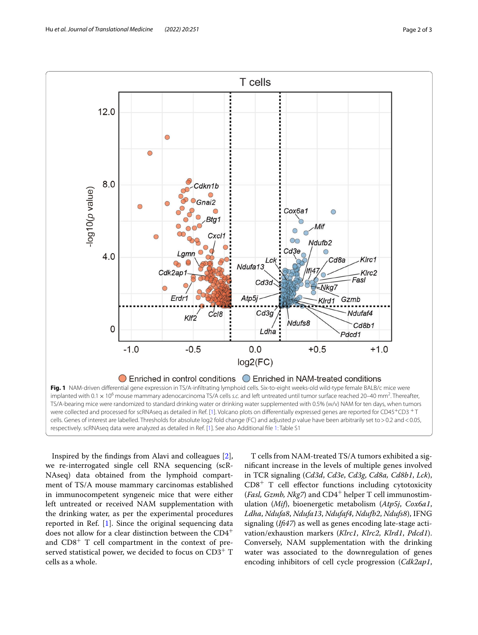

<span id="page-1-0"></span>Inspired by the fndings from Alavi and colleagues [\[2](#page-2-1)], we re-interrogated single cell RNA sequencing (scR-NAseq) data obtained from the lymphoid compartment of TS/A mouse mammary carcinomas established in immunocompetent syngeneic mice that were either left untreated or received NAM supplementation with the drinking water, as per the experimental procedures reported in Ref. [[1\]](#page-2-0). Since the original sequencing data does not allow for a clear distinction between the CD4<sup>+</sup> and  $CD8<sup>+</sup>$  T cell compartment in the context of preserved statistical power, we decided to focus on  $CD3^+$  T cells as a whole.

T cells from NAM-treated TS/A tumors exhibited a signifcant increase in the levels of multiple genes involved in TCR signaling (*Cd3d*, *Cd3e*, *Cd3g*, *Cd8a, Cd8b1*, *Lck*),  $CD8<sup>+</sup>$  T cell effector functions including cytotoxicity (*Fasl, Gzmb, Nkg7*) and CD4<sup>+</sup> helper T cell immunostimulation (*Mif*), bioenergetic metabolism (*Atp5j*, *Cox6a1*, *Ldha*, *Ndufa8*, *Ndufa13*, *Ndufaf4*, *Ndufb2*, *Ndufs8*), IFNG signaling (*If47*) as well as genes encoding late-stage activation/exhaustion markers (*Klrc1*, *Klrc2*, *Klrd1*, *Pdcd1*). Conversely, NAM supplementation with the drinking water was associated to the downregulation of genes encoding inhibitors of cell cycle progression (*Cdk2ap1*,